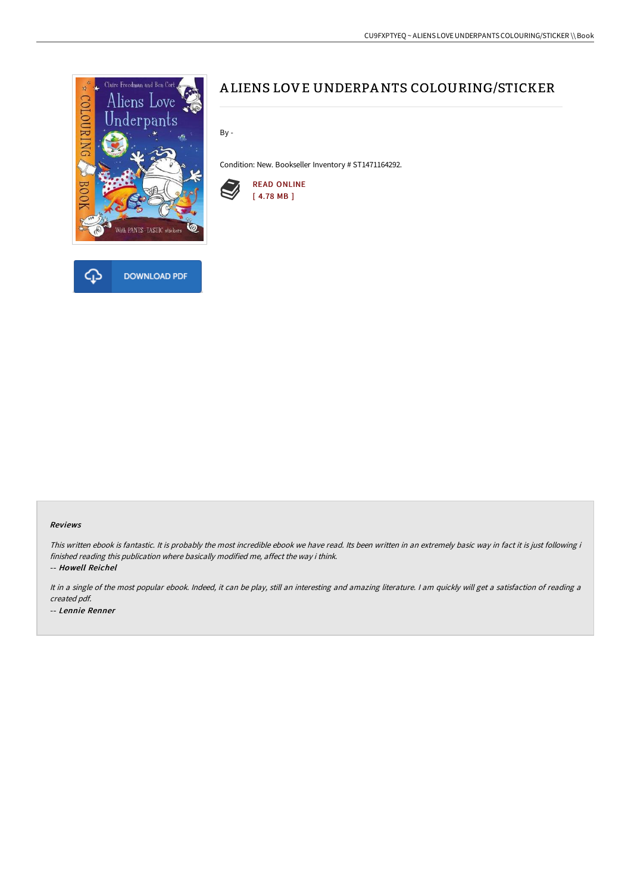

# A LIENS LOVE UNDERPANTS COLOURING/STICKER

By -

Condition: New. Bookseller Inventory # ST1471164292.



#### Reviews

This written ebook is fantastic. It is probably the most incredible ebook we have read. Its been written in an extremely basic way in fact it is just following i finished reading this publication where basically modified me, affect the way i think.

-- Howell Reichel

It in <sup>a</sup> single of the most popular ebook. Indeed, it can be play, still an interesting and amazing literature. <sup>I</sup> am quickly will get <sup>a</sup> satisfaction of reading <sup>a</sup> created pdf. -- Lennie Renner